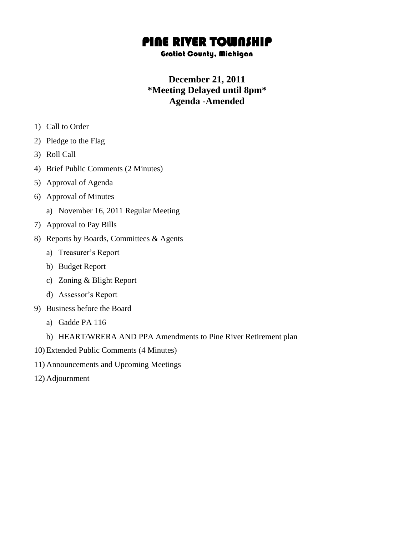## PINE RIVER TOWNSHIP

## Gratiot County, Michigan

## **December 21, 2011 \*Meeting Delayed until 8pm\* Agenda -Amended**

- 1) Call to Order
- 2) Pledge to the Flag
- 3) Roll Call
- 4) Brief Public Comments (2 Minutes)
- 5) Approval of Agenda
- 6) Approval of Minutes
	- a) November 16, 2011 Regular Meeting
- 7) Approval to Pay Bills
- 8) Reports by Boards, Committees & Agents
	- a) Treasurer's Report
	- b) Budget Report
	- c) Zoning & Blight Report
	- d) Assessor's Report
- 9) Business before the Board
	- a) Gadde PA 116
	- b) HEART/WRERA AND PPA Amendments to Pine River Retirement plan
- 10) Extended Public Comments (4 Minutes)
- 11) Announcements and Upcoming Meetings
- 12) Adjournment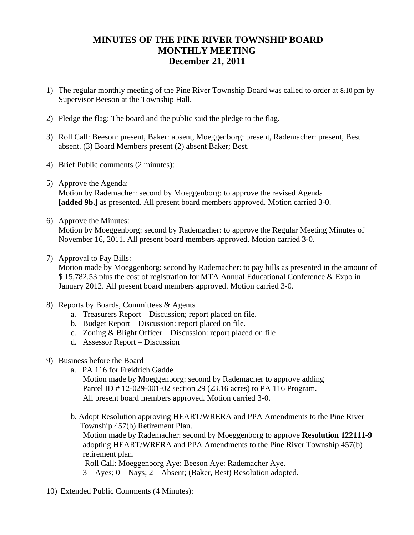## **MINUTES OF THE PINE RIVER TOWNSHIP BOARD MONTHLY MEETING December 21, 2011**

- 1) The regular monthly meeting of the Pine River Township Board was called to order at 8:10 pm by Supervisor Beeson at the Township Hall.
- 2) Pledge the flag: The board and the public said the pledge to the flag.
- 3) Roll Call: Beeson: present, Baker: absent, Moeggenborg: present, Rademacher: present, Best absent. (3) Board Members present (2) absent Baker; Best.
- 4) Brief Public comments (2 minutes):
- 5) Approve the Agenda:

Motion by Rademacher: second by Moeggenborg: to approve the revised Agenda **[added 9b.]** as presented. All present board members approved. Motion carried 3-0.

6) Approve the Minutes:

Motion by Moeggenborg: second by Rademacher: to approve the Regular Meeting Minutes of November 16, 2011. All present board members approved. Motion carried 3-0.

7) Approval to Pay Bills:

Motion made by Moeggenborg: second by Rademacher: to pay bills as presented in the amount of \$ 15,782.53 plus the cost of registration for MTA Annual Educational Conference & Expo in January 2012. All present board members approved. Motion carried 3-0.

- 8) Reports by Boards, Committees & Agents
	- a. Treasurers Report Discussion; report placed on file.
	- b. Budget Report Discussion: report placed on file.
	- c. Zoning & Blight Officer Discussion: report placed on file
	- d. Assessor Report Discussion
- 9) Business before the Board
	- a. PA 116 for Freidrich Gadde
		- Motion made by Moeggenborg: second by Rademacher to approve adding Parcel ID # 12-029-001-02 section 29 (23.16 acres) to PA 116 Program. All present board members approved. Motion carried 3-0.
	- b. Adopt Resolution approving HEART/WRERA and PPA Amendments to the Pine River Township 457(b) Retirement Plan.

Motion made by Rademacher: second by Moeggenborg to approve **Resolution 122111-9** adopting HEART/WRERA and PPA Amendments to the Pine River Township 457(b) retirement plan.

Roll Call: Moeggenborg Aye: Beeson Aye: Rademacher Aye.

3 – Ayes; 0 – Nays; 2 – Absent; (Baker, Best) Resolution adopted.

10) Extended Public Comments (4 Minutes):